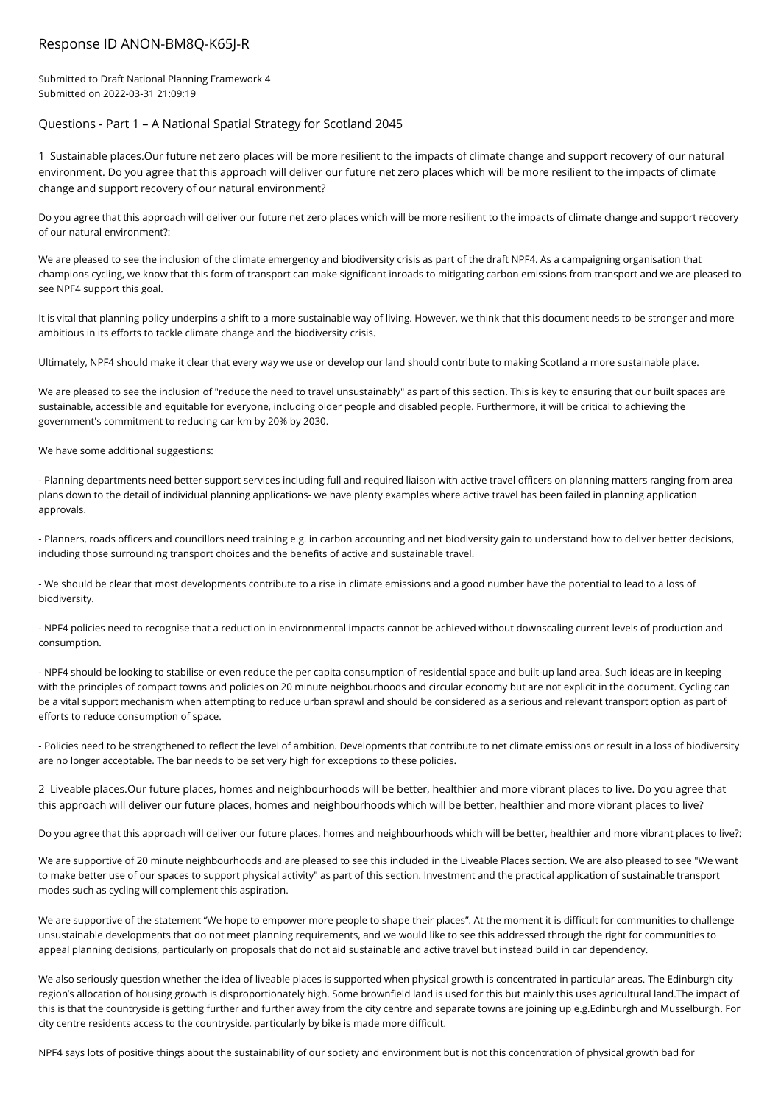## Response ID ANON-BM8Q-K65J-R

Submitted to Draft National Planning Framework 4 Submitted on 2022-03-31 21:09:19

# Questions - Part 1 – A National Spatial Strategy for Scotland 2045

1 Sustainable places.Our future net zero places will be more resilient to the impacts of climate change and support recovery of our natural environment. Do you agree that this approach will deliver our future net zero places which will be more resilient to the impacts of climate change and support recovery of our natural environment?

Do you agree that this approach will deliver our future net zero places which will be more resilient to the impacts of climate change and support recovery of our natural environment?:

We are pleased to see the inclusion of the climate emergency and biodiversity crisis as part of the draft NPF4. As a campaigning organisation that champions cycling, we know that this form of transport can make significant inroads to mitigating carbon emissions from transport and we are pleased to see NPF4 support this goal.

It is vital that planning policy underpins a shift to a more sustainable way of living. However, we think that this document needs to be stronger and more ambitious in its efforts to tackle climate change and the biodiversity crisis.

Ultimately, NPF4 should make it clear that every way we use or develop our land should contribute to making Scotland a more sustainable place.

We are pleased to see the inclusion of "reduce the need to travel unsustainably" as part of this section. This is key to ensuring that our built spaces are sustainable, accessible and equitable for everyone, including older people and disabled people. Furthermore, it will be critical to achieving the government's commitment to reducing car-km by 20% by 2030.

We have some additional suggestions:

- Planning departments need better support services including full and required liaison with active travel officers on planning matters ranging from area plans down to the detail of individual planning applications- we have plenty examples where active travel has been failed in planning application approvals.

- Planners, roads officers and councillors need training e.g. in carbon accounting and net biodiversity gain to understand how to deliver better decisions, including those surrounding transport choices and the benefits of active and sustainable travel.

- We should be clear that most developments contribute to a rise in climate emissions and a good number have the potential to lead to a loss of biodiversity.

- NPF4 policies need to recognise that a reduction in environmental impacts cannot be achieved without downscaling current levels of production and consumption.

- NPF4 should be looking to stabilise or even reduce the per capita consumption of residential space and built-up land area. Such ideas are in keeping with the principles of compact towns and policies on 20 minute neighbourhoods and circular economy but are not explicit in the document. Cycling can be a vital support mechanism when attempting to reduce urban sprawl and should be considered as a serious and relevant transport option as part of efforts to reduce consumption of space.

- Policies need to be strengthened to reflect the level of ambition. Developments that contribute to net climate emissions or result in a loss of biodiversity are no longer acceptable. The bar needs to be set very high for exceptions to these policies.

2 Liveable places.Our future places, homes and neighbourhoods will be better, healthier and more vibrant places to live. Do you agree that this approach will deliver our future places, homes and neighbourhoods which will be better, healthier and more vibrant places to live?

Do you agree that this approach will deliver our future places, homes and neighbourhoods which will be better, healthier and more vibrant places to live?:

We are supportive of 20 minute neighbourhoods and are pleased to see this included in the Liveable Places section. We are also pleased to see "We want to make better use of our spaces to support physical activity" as part of this section. Investment and the practical application of sustainable transport modes such as cycling will complement this aspiration.

We are supportive of the statement "We hope to empower more people to shape their places". At the moment it is difficult for communities to challenge unsustainable developments that do not meet planning requirements, and we would like to see this addressed through the right for communities to appeal planning decisions, particularly on proposals that do not aid sustainable and active travel but instead build in car dependency.

We also seriously question whether the idea of liveable places is supported when physical growth is concentrated in particular areas. The Edinburgh city region's allocation of housing growth is disproportionately high. Some brownfield land is used for this but mainly this uses agricultural land.The impact of this is that the countryside is getting further and further away from the city centre and separate towns are joining up e.g.Edinburgh and Musselburgh. For city centre residents access to the countryside, particularly by bike is made more difficult.

NPF4 says lots of positive things about the sustainability of our society and environment but is not this concentration of physical growth bad for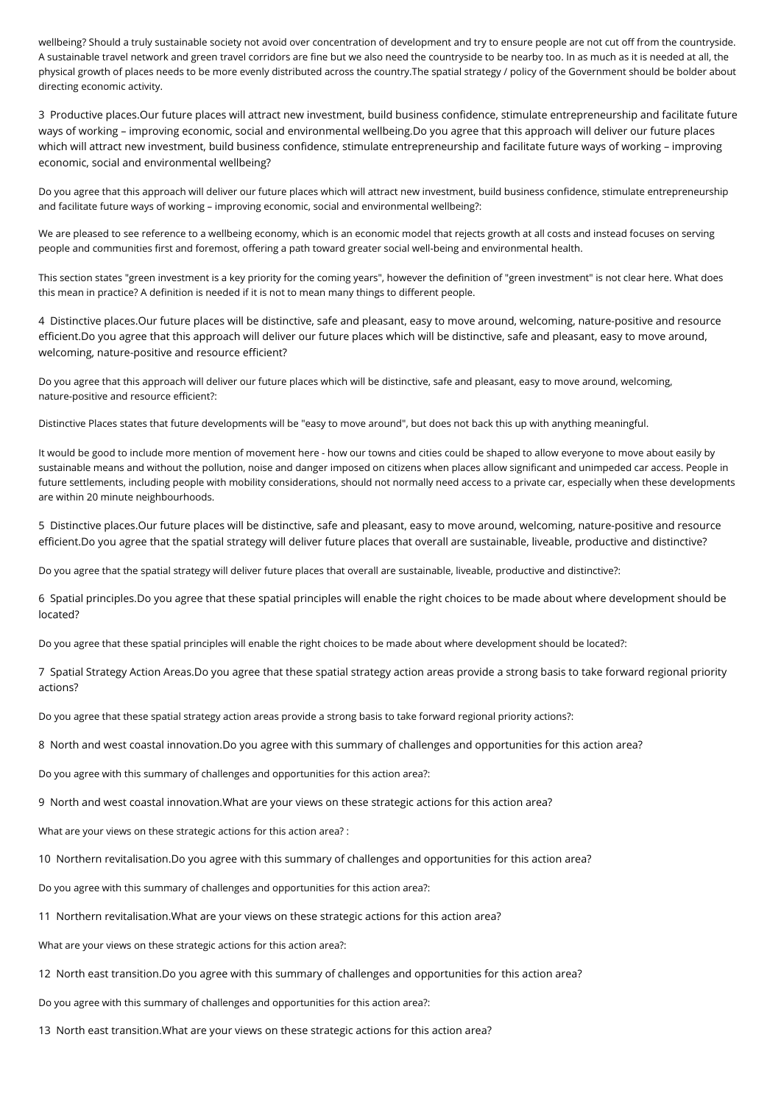wellbeing? Should a truly sustainable society not avoid over concentration of development and try to ensure people are not cut off from the countryside. A sustainable travel network and green travel corridors are fine but we also need the countryside to be nearby too. In as much as it is needed at all, the physical growth of places needs to be more evenly distributed across the country.The spatial strategy / policy of the Government should be bolder about directing economic activity.

3 Productive places.Our future places will attract new investment, build business confidence, stimulate entrepreneurship and facilitate future ways of working – improving economic, social and environmental wellbeing.Do you agree that this approach will deliver our future places which will attract new investment, build business confidence, stimulate entrepreneurship and facilitate future ways of working – improving economic, social and environmental wellbeing?

Do you agree that this approach will deliver our future places which will attract new investment, build business confidence, stimulate entrepreneurship and facilitate future ways of working – improving economic, social and environmental wellbeing?:

We are pleased to see reference to a wellbeing economy, which is an economic model that rejects growth at all costs and instead focuses on serving people and communities first and foremost, offering a path toward greater social well-being and environmental health.

This section states "green investment is a key priority for the coming years", however the definition of "green investment" is not clear here. What does this mean in practice? A definition is needed if it is not to mean many things to different people.

4 Distinctive places.Our future places will be distinctive, safe and pleasant, easy to move around, welcoming, nature-positive and resource efficient.Do you agree that this approach will deliver our future places which will be distinctive, safe and pleasant, easy to move around, welcoming, nature-positive and resource efficient?

Do you agree that this approach will deliver our future places which will be distinctive, safe and pleasant, easy to move around, welcoming, nature-positive and resource efficient?:

Distinctive Places states that future developments will be "easy to move around", but does not back this up with anything meaningful.

It would be good to include more mention of movement here - how our towns and cities could be shaped to allow everyone to move about easily by sustainable means and without the pollution, noise and danger imposed on citizens when places allow significant and unimpeded car access. People in future settlements, including people with mobility considerations, should not normally need access to a private car, especially when these developments are within 20 minute neighbourhoods.

5 Distinctive places.Our future places will be distinctive, safe and pleasant, easy to move around, welcoming, nature-positive and resource efficient.Do you agree that the spatial strategy will deliver future places that overall are sustainable, liveable, productive and distinctive?

Do you agree that the spatial strategy will deliver future places that overall are sustainable, liveable, productive and distinctive?:

6 Spatial principles.Do you agree that these spatial principles will enable the right choices to be made about where development should be located?

Do you agree that these spatial principles will enable the right choices to be made about where development should be located?:

7 Spatial Strategy Action Areas.Do you agree that these spatial strategy action areas provide a strong basis to take forward regional priority actions?

Do you agree that these spatial strategy action areas provide a strong basis to take forward regional priority actions?:

8 North and west coastal innovation.Do you agree with this summary of challenges and opportunities for this action area?

Do you agree with this summary of challenges and opportunities for this action area?:

9 North and west coastal innovation.What are your views on these strategic actions for this action area?

What are your views on these strategic actions for this action area? :

10 Northern revitalisation.Do you agree with this summary of challenges and opportunities for this action area?

Do you agree with this summary of challenges and opportunities for this action area?:

11 Northern revitalisation.What are your views on these strategic actions for this action area?

What are your views on these strategic actions for this action area?:

12 North east transition.Do you agree with this summary of challenges and opportunities for this action area?

Do you agree with this summary of challenges and opportunities for this action area?:

13 North east transition.What are your views on these strategic actions for this action area?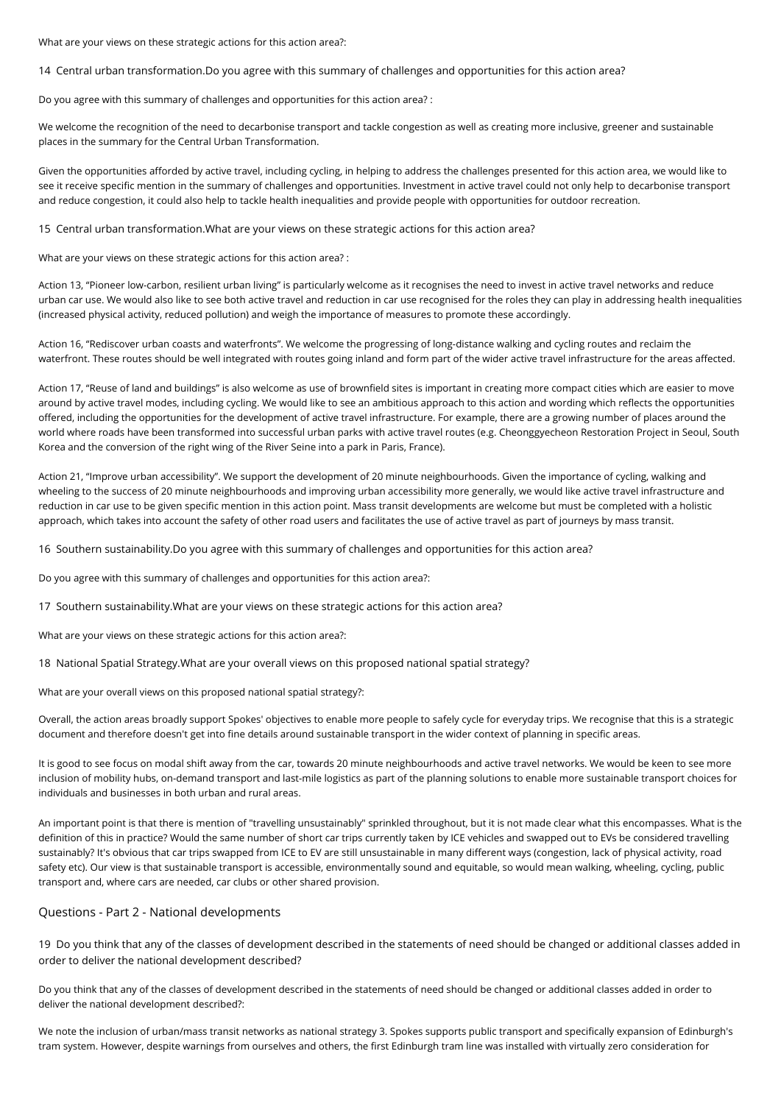What are your views on these strategic actions for this action area?:

14 Central urban transformation.Do you agree with this summary of challenges and opportunities for this action area?

Do you agree with this summary of challenges and opportunities for this action area? :

We welcome the recognition of the need to decarbonise transport and tackle congestion as well as creating more inclusive, greener and sustainable places in the summary for the Central Urban Transformation.

Given the opportunities afforded by active travel, including cycling, in helping to address the challenges presented for this action area, we would like to see it receive specific mention in the summary of challenges and opportunities. Investment in active travel could not only help to decarbonise transport and reduce congestion, it could also help to tackle health inequalities and provide people with opportunities for outdoor recreation.

15 Central urban transformation.What are your views on these strategic actions for this action area?

What are your views on these strategic actions for this action area? :

Action 13, "Pioneer low-carbon, resilient urban living" is particularly welcome as it recognises the need to invest in active travel networks and reduce urban car use. We would also like to see both active travel and reduction in car use recognised for the roles they can play in addressing health inequalities (increased physical activity, reduced pollution) and weigh the importance of measures to promote these accordingly.

Action 16, "Rediscover urban coasts and waterfronts". We welcome the progressing of long-distance walking and cycling routes and reclaim the waterfront. These routes should be well integrated with routes going inland and form part of the wider active travel infrastructure for the areas affected.

Action 17, "Reuse of land and buildings" is also welcome as use of brownfield sites is important in creating more compact cities which are easier to move around by active travel modes, including cycling. We would like to see an ambitious approach to this action and wording which reflects the opportunities offered, including the opportunities for the development of active travel infrastructure. For example, there are a growing number of places around the world where roads have been transformed into successful urban parks with active travel routes (e.g. Cheonggyecheon Restoration Project in Seoul, South Korea and the conversion of the right wing of the River Seine into a park in Paris, France).

Action 21, "Improve urban accessibility". We support the development of 20 minute neighbourhoods. Given the importance of cycling, walking and wheeling to the success of 20 minute neighbourhoods and improving urban accessibility more generally, we would like active travel infrastructure and reduction in car use to be given specific mention in this action point. Mass transit developments are welcome but must be completed with a holistic approach, which takes into account the safety of other road users and facilitates the use of active travel as part of journeys by mass transit.

16 Southern sustainability.Do you agree with this summary of challenges and opportunities for this action area?

Do you agree with this summary of challenges and opportunities for this action area?:

17 Southern sustainability.What are your views on these strategic actions for this action area?

What are your views on these strategic actions for this action area?:

18 National Spatial Strategy.What are your overall views on this proposed national spatial strategy?

What are your overall views on this proposed national spatial strategy?:

Overall, the action areas broadly support Spokes' objectives to enable more people to safely cycle for everyday trips. We recognise that this is a strategic document and therefore doesn't get into fine details around sustainable transport in the wider context of planning in specific areas.

It is good to see focus on modal shift away from the car, towards 20 minute neighbourhoods and active travel networks. We would be keen to see more inclusion of mobility hubs, on-demand transport and last-mile logistics as part of the planning solutions to enable more sustainable transport choices for individuals and businesses in both urban and rural areas.

An important point is that there is mention of "travelling unsustainably" sprinkled throughout, but it is not made clear what this encompasses. What is the definition of this in practice? Would the same number of short car trips currently taken by ICE vehicles and swapped out to EVs be considered travelling sustainably? It's obvious that car trips swapped from ICE to EV are still unsustainable in many different ways (congestion, lack of physical activity, road safety etc). Our view is that sustainable transport is accessible, environmentally sound and equitable, so would mean walking, wheeling, cycling, public transport and, where cars are needed, car clubs or other shared provision.

### Questions - Part 2 - National developments

19 Do you think that any of the classes of development described in the statements of need should be changed or additional classes added in order to deliver the national development described?

Do you think that any of the classes of development described in the statements of need should be changed or additional classes added in order to deliver the national development described?:

We note the inclusion of urban/mass transit networks as national strategy 3. Spokes supports public transport and specifically expansion of Edinburgh's tram system. However, despite warnings from ourselves and others, the first Edinburgh tram line was installed with virtually zero consideration for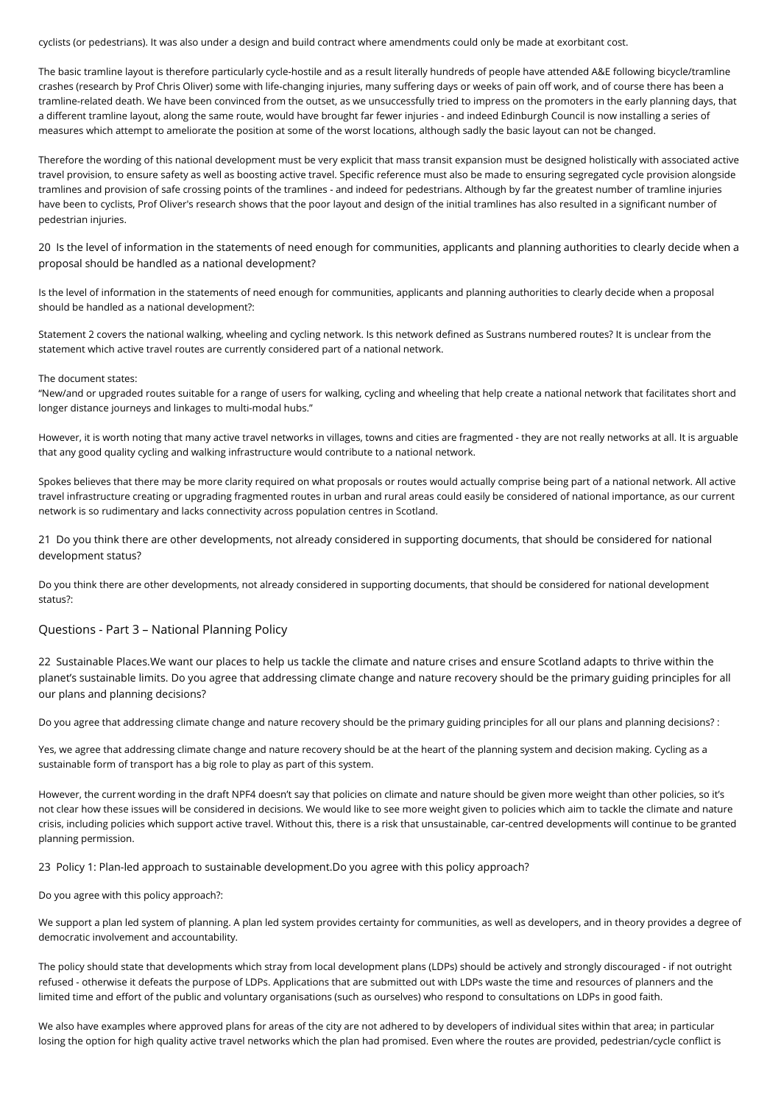cyclists (or pedestrians). It was also under a design and build contract where amendments could only be made at exorbitant cost.

The basic tramline layout is therefore particularly cycle-hostile and as a result literally hundreds of people have attended A&E following bicycle/tramline crashes (research by Prof Chris Oliver) some with life-changing injuries, many suffering days or weeks of pain off work, and of course there has been a tramline-related death. We have been convinced from the outset, as we unsuccessfully tried to impress on the promoters in the early planning days, that a different tramline layout, along the same route, would have brought far fewer injuries - and indeed Edinburgh Council is now installing a series of measures which attempt to ameliorate the position at some of the worst locations, although sadly the basic layout can not be changed.

Therefore the wording of this national development must be very explicit that mass transit expansion must be designed holistically with associated active travel provision, to ensure safety as well as boosting active travel. Specific reference must also be made to ensuring segregated cycle provision alongside tramlines and provision of safe crossing points of the tramlines - and indeed for pedestrians. Although by far the greatest number of tramline injuries have been to cyclists, Prof Oliver's research shows that the poor layout and design of the initial tramlines has also resulted in a significant number of pedestrian injuries.

20 Is the level of information in the statements of need enough for communities, applicants and planning authorities to clearly decide when a proposal should be handled as a national development?

Is the level of information in the statements of need enough for communities, applicants and planning authorities to clearly decide when a proposal should be handled as a national development?:

Statement 2 covers the national walking, wheeling and cycling network. Is this network defined as Sustrans numbered routes? It is unclear from the statement which active travel routes are currently considered part of a national network.

#### The document states:

"New/and or upgraded routes suitable for a range of users for walking, cycling and wheeling that help create a national network that facilitates short and longer distance journeys and linkages to multi-modal hubs."

However, it is worth noting that many active travel networks in villages, towns and cities are fragmented - they are not really networks at all. It is arguable that any good quality cycling and walking infrastructure would contribute to a national network.

Spokes believes that there may be more clarity required on what proposals or routes would actually comprise being part of a national network. All active travel infrastructure creating or upgrading fragmented routes in urban and rural areas could easily be considered of national importance, as our current network is so rudimentary and lacks connectivity across population centres in Scotland.

21 Do you think there are other developments, not already considered in supporting documents, that should be considered for national development status?

Do you think there are other developments, not already considered in supporting documents, that should be considered for national development status?:

### Questions - Part 3 – National Planning Policy

22 Sustainable Places.We want our places to help us tackle the climate and nature crises and ensure Scotland adapts to thrive within the planet's sustainable limits. Do you agree that addressing climate change and nature recovery should be the primary guiding principles for all our plans and planning decisions?

Do you agree that addressing climate change and nature recovery should be the primary guiding principles for all our plans and planning decisions? :

Yes, we agree that addressing climate change and nature recovery should be at the heart of the planning system and decision making. Cycling as a sustainable form of transport has a big role to play as part of this system.

However, the current wording in the draft NPF4 doesn't say that policies on climate and nature should be given more weight than other policies, so it's not clear how these issues will be considered in decisions. We would like to see more weight given to policies which aim to tackle the climate and nature crisis, including policies which support active travel. Without this, there is a risk that unsustainable, car-centred developments will continue to be granted planning permission.

23 Policy 1: Plan-led approach to sustainable development.Do you agree with this policy approach?

Do you agree with this policy approach?:

We support a plan led system of planning. A plan led system provides certainty for communities, as well as developers, and in theory provides a degree of democratic involvement and accountability.

The policy should state that developments which stray from local development plans (LDPs) should be actively and strongly discouraged - if not outright refused - otherwise it defeats the purpose of LDPs. Applications that are submitted out with LDPs waste the time and resources of planners and the limited time and effort of the public and voluntary organisations (such as ourselves) who respond to consultations on LDPs in good faith.

We also have examples where approved plans for areas of the city are not adhered to by developers of individual sites within that area; in particular losing the option for high quality active travel networks which the plan had promised. Even where the routes are provided, pedestrian/cycle conflict is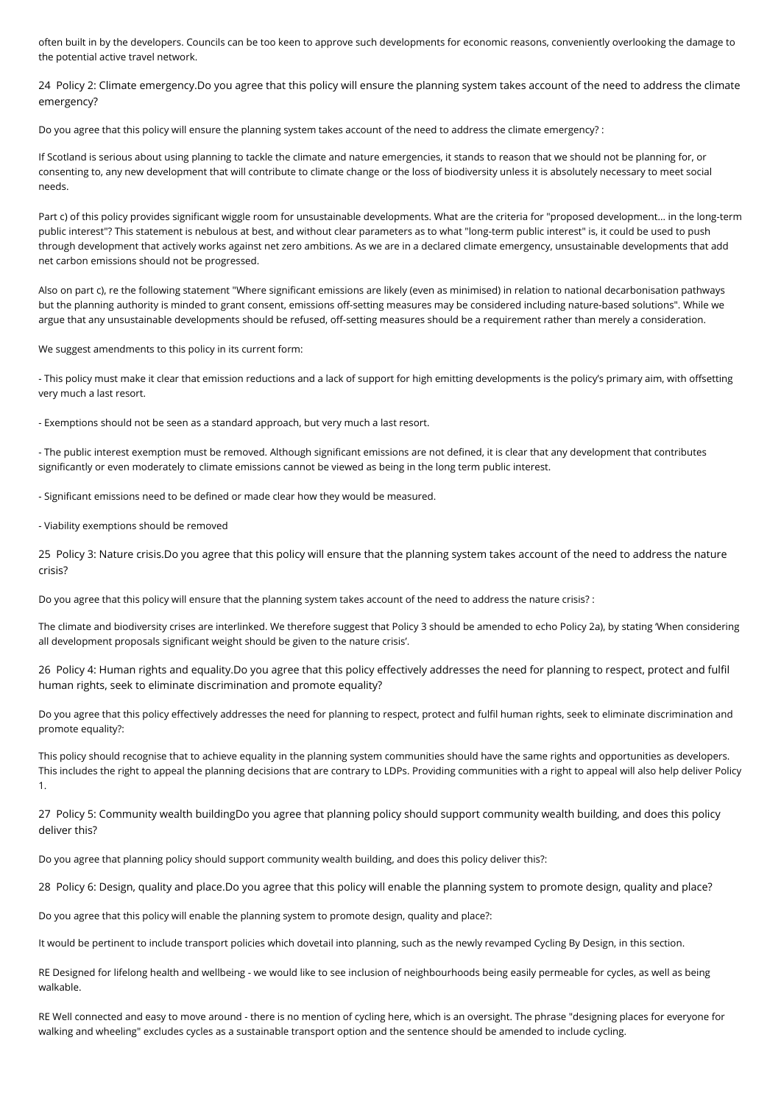often built in by the developers. Councils can be too keen to approve such developments for economic reasons, conveniently overlooking the damage to the potential active travel network.

24 Policy 2: Climate emergency.Do you agree that this policy will ensure the planning system takes account of the need to address the climate emergency?

Do you agree that this policy will ensure the planning system takes account of the need to address the climate emergency? :

If Scotland is serious about using planning to tackle the climate and nature emergencies, it stands to reason that we should not be planning for, or consenting to, any new development that will contribute to climate change or the loss of biodiversity unless it is absolutely necessary to meet social needs.

Part c) of this policy provides significant wiggle room for unsustainable developments. What are the criteria for "proposed development... in the long-term public interest"? This statement is nebulous at best, and without clear parameters as to what "long-term public interest" is, it could be used to push through development that actively works against net zero ambitions. As we are in a declared climate emergency, unsustainable developments that add net carbon emissions should not be progressed.

Also on part c), re the following statement "Where significant emissions are likely (even as minimised) in relation to national decarbonisation pathways but the planning authority is minded to grant consent, emissions off-setting measures may be considered including nature-based solutions". While we argue that any unsustainable developments should be refused, off-setting measures should be a requirement rather than merely a consideration.

We suggest amendments to this policy in its current form:

- This policy must make it clear that emission reductions and a lack of support for high emitting developments is the policy's primary aim, with offsetting very much a last resort.

- Exemptions should not be seen as a standard approach, but very much a last resort.

- The public interest exemption must be removed. Although significant emissions are not defined, it is clear that any development that contributes significantly or even moderately to climate emissions cannot be viewed as being in the long term public interest.

- Significant emissions need to be defined or made clear how they would be measured.

- Viability exemptions should be removed

25 Policy 3: Nature crisis.Do you agree that this policy will ensure that the planning system takes account of the need to address the nature crisis?

Do you agree that this policy will ensure that the planning system takes account of the need to address the nature crisis? :

The climate and biodiversity crises are interlinked. We therefore suggest that Policy 3 should be amended to echo Policy 2a), by stating 'When considering all development proposals significant weight should be given to the nature crisis'.

26 Policy 4: Human rights and equality.Do you agree that this policy effectively addresses the need for planning to respect, protect and fulfil human rights, seek to eliminate discrimination and promote equality?

Do you agree that this policy effectively addresses the need for planning to respect, protect and fulfil human rights, seek to eliminate discrimination and promote equality?:

This policy should recognise that to achieve equality in the planning system communities should have the same rights and opportunities as developers. This includes the right to appeal the planning decisions that are contrary to LDPs. Providing communities with a right to appeal will also help deliver Policy 1.

27 Policy 5: Community wealth buildingDo you agree that planning policy should support community wealth building, and does this policy deliver this?

Do you agree that planning policy should support community wealth building, and does this policy deliver this?:

28 Policy 6: Design, quality and place.Do you agree that this policy will enable the planning system to promote design, quality and place?

Do you agree that this policy will enable the planning system to promote design, quality and place?:

It would be pertinent to include transport policies which dovetail into planning, such as the newly revamped Cycling By Design, in this section.

RE Designed for lifelong health and wellbeing - we would like to see inclusion of neighbourhoods being easily permeable for cycles, as well as being walkable.

RE Well connected and easy to move around - there is no mention of cycling here, which is an oversight. The phrase "designing places for everyone for walking and wheeling" excludes cycles as a sustainable transport option and the sentence should be amended to include cycling.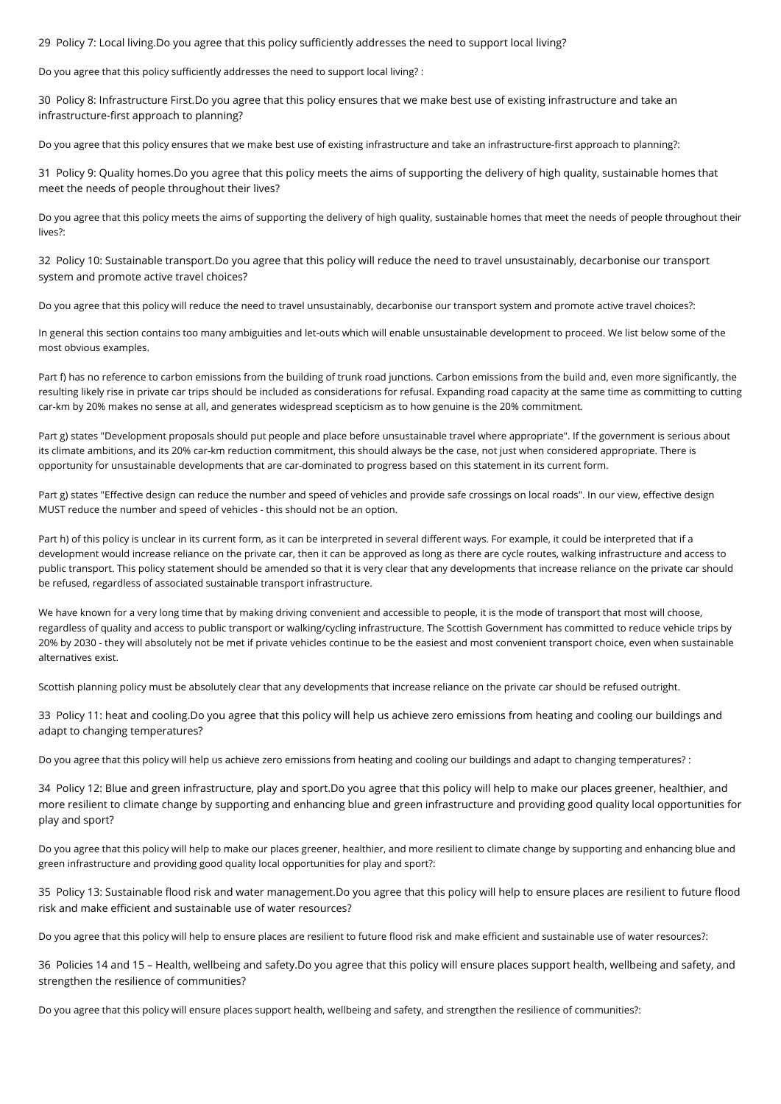29 Policy 7: Local living.Do you agree that this policy sufficiently addresses the need to support local living?

Do you agree that this policy sufficiently addresses the need to support local living? :

30 Policy 8: Infrastructure First.Do you agree that this policy ensures that we make best use of existing infrastructure and take an infrastructure-first approach to planning?

Do you agree that this policy ensures that we make best use of existing infrastructure and take an infrastructure-first approach to planning?:

31 Policy 9: Quality homes.Do you agree that this policy meets the aims of supporting the delivery of high quality, sustainable homes that meet the needs of people throughout their lives?

Do you agree that this policy meets the aims of supporting the delivery of high quality, sustainable homes that meet the needs of people throughout their lives?:

32 Policy 10: Sustainable transport.Do you agree that this policy will reduce the need to travel unsustainably, decarbonise our transport system and promote active travel choices?

Do you agree that this policy will reduce the need to travel unsustainably, decarbonise our transport system and promote active travel choices?:

In general this section contains too many ambiguities and let-outs which will enable unsustainable development to proceed. We list below some of the most obvious examples.

Part f) has no reference to carbon emissions from the building of trunk road junctions. Carbon emissions from the build and, even more significantly, the resulting likely rise in private car trips should be included as considerations for refusal. Expanding road capacity at the same time as committing to cutting car-km by 20% makes no sense at all, and generates widespread scepticism as to how genuine is the 20% commitment.

Part g) states "Development proposals should put people and place before unsustainable travel where appropriate". If the government is serious about its climate ambitions, and its 20% car-km reduction commitment, this should always be the case, not just when considered appropriate. There is opportunity for unsustainable developments that are car-dominated to progress based on this statement in its current form.

Part g) states "Effective design can reduce the number and speed of vehicles and provide safe crossings on local roads". In our view, effective design MUST reduce the number and speed of vehicles - this should not be an option.

Part h) of this policy is unclear in its current form, as it can be interpreted in several different ways. For example, it could be interpreted that if a development would increase reliance on the private car, then it can be approved as long as there are cycle routes, walking infrastructure and access to public transport. This policy statement should be amended so that it is very clear that any developments that increase reliance on the private car should be refused, regardless of associated sustainable transport infrastructure.

We have known for a very long time that by making driving convenient and accessible to people, it is the mode of transport that most will choose, regardless of quality and access to public transport or walking/cycling infrastructure. The Scottish Government has committed to reduce vehicle trips by 20% by 2030 - they will absolutely not be met if private vehicles continue to be the easiest and most convenient transport choice, even when sustainable alternatives exist.

Scottish planning policy must be absolutely clear that any developments that increase reliance on the private car should be refused outright.

33 Policy 11: heat and cooling.Do you agree that this policy will help us achieve zero emissions from heating and cooling our buildings and adapt to changing temperatures?

Do you agree that this policy will help us achieve zero emissions from heating and cooling our buildings and adapt to changing temperatures? :

34 Policy 12: Blue and green infrastructure, play and sport.Do you agree that this policy will help to make our places greener, healthier, and more resilient to climate change by supporting and enhancing blue and green infrastructure and providing good quality local opportunities for play and sport?

Do you agree that this policy will help to make our places greener, healthier, and more resilient to climate change by supporting and enhancing blue and green infrastructure and providing good quality local opportunities for play and sport?:

35 Policy 13: Sustainable flood risk and water management.Do you agree that this policy will help to ensure places are resilient to future flood risk and make efficient and sustainable use of water resources?

Do you agree that this policy will help to ensure places are resilient to future flood risk and make efficient and sustainable use of water resources?:

36 Policies 14 and 15 – Health, wellbeing and safety.Do you agree that this policy will ensure places support health, wellbeing and safety, and strengthen the resilience of communities?

Do you agree that this policy will ensure places support health, wellbeing and safety, and strengthen the resilience of communities?: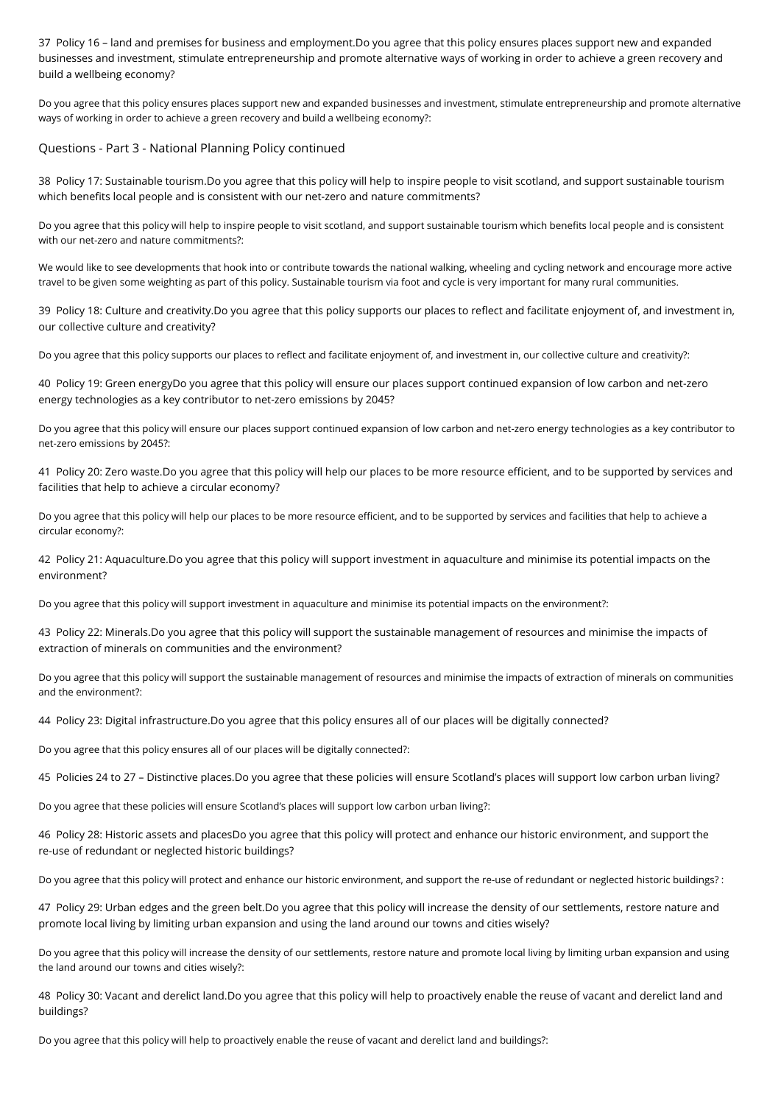37 Policy 16 – land and premises for business and employment.Do you agree that this policy ensures places support new and expanded businesses and investment, stimulate entrepreneurship and promote alternative ways of working in order to achieve a green recovery and build a wellbeing economy?

Do you agree that this policy ensures places support new and expanded businesses and investment, stimulate entrepreneurship and promote alternative ways of working in order to achieve a green recovery and build a wellbeing economy?:

### Questions - Part 3 - National Planning Policy continued

38 Policy 17: Sustainable tourism.Do you agree that this policy will help to inspire people to visit scotland, and support sustainable tourism which benefits local people and is consistent with our net-zero and nature commitments?

Do you agree that this policy will help to inspire people to visit scotland, and support sustainable tourism which benefits local people and is consistent with our net-zero and nature commitments?:

We would like to see developments that hook into or contribute towards the national walking, wheeling and cycling network and encourage more active travel to be given some weighting as part of this policy. Sustainable tourism via foot and cycle is very important for many rural communities.

39 Policy 18: Culture and creativity.Do you agree that this policy supports our places to reflect and facilitate enjoyment of, and investment in, our collective culture and creativity?

Do you agree that this policy supports our places to reflect and facilitate enjoyment of, and investment in, our collective culture and creativity?:

40 Policy 19: Green energyDo you agree that this policy will ensure our places support continued expansion of low carbon and net-zero energy technologies as a key contributor to net-zero emissions by 2045?

Do you agree that this policy will ensure our places support continued expansion of low carbon and net-zero energy technologies as a key contributor to net-zero emissions by 2045?:

41 Policy 20: Zero waste.Do you agree that this policy will help our places to be more resource efficient, and to be supported by services and facilities that help to achieve a circular economy?

Do you agree that this policy will help our places to be more resource efficient, and to be supported by services and facilities that help to achieve a circular economy?:

42 Policy 21: Aquaculture.Do you agree that this policy will support investment in aquaculture and minimise its potential impacts on the environment?

Do you agree that this policy will support investment in aquaculture and minimise its potential impacts on the environment?:

43 Policy 22: Minerals.Do you agree that this policy will support the sustainable management of resources and minimise the impacts of extraction of minerals on communities and the environment?

Do you agree that this policy will support the sustainable management of resources and minimise the impacts of extraction of minerals on communities and the environment?:

44 Policy 23: Digital infrastructure.Do you agree that this policy ensures all of our places will be digitally connected?

Do you agree that this policy ensures all of our places will be digitally connected?:

45 Policies 24 to 27 – Distinctive places.Do you agree that these policies will ensure Scotland's places will support low carbon urban living?

Do you agree that these policies will ensure Scotland's places will support low carbon urban living?:

46 Policy 28: Historic assets and placesDo you agree that this policy will protect and enhance our historic environment, and support the re-use of redundant or neglected historic buildings?

Do you agree that this policy will protect and enhance our historic environment, and support the re-use of redundant or neglected historic buildings? :

47 Policy 29: Urban edges and the green belt.Do you agree that this policy will increase the density of our settlements, restore nature and promote local living by limiting urban expansion and using the land around our towns and cities wisely?

Do you agree that this policy will increase the density of our settlements, restore nature and promote local living by limiting urban expansion and using the land around our towns and cities wisely?:

48 Policy 30: Vacant and derelict land.Do you agree that this policy will help to proactively enable the reuse of vacant and derelict land and buildings?

Do you agree that this policy will help to proactively enable the reuse of vacant and derelict land and buildings?: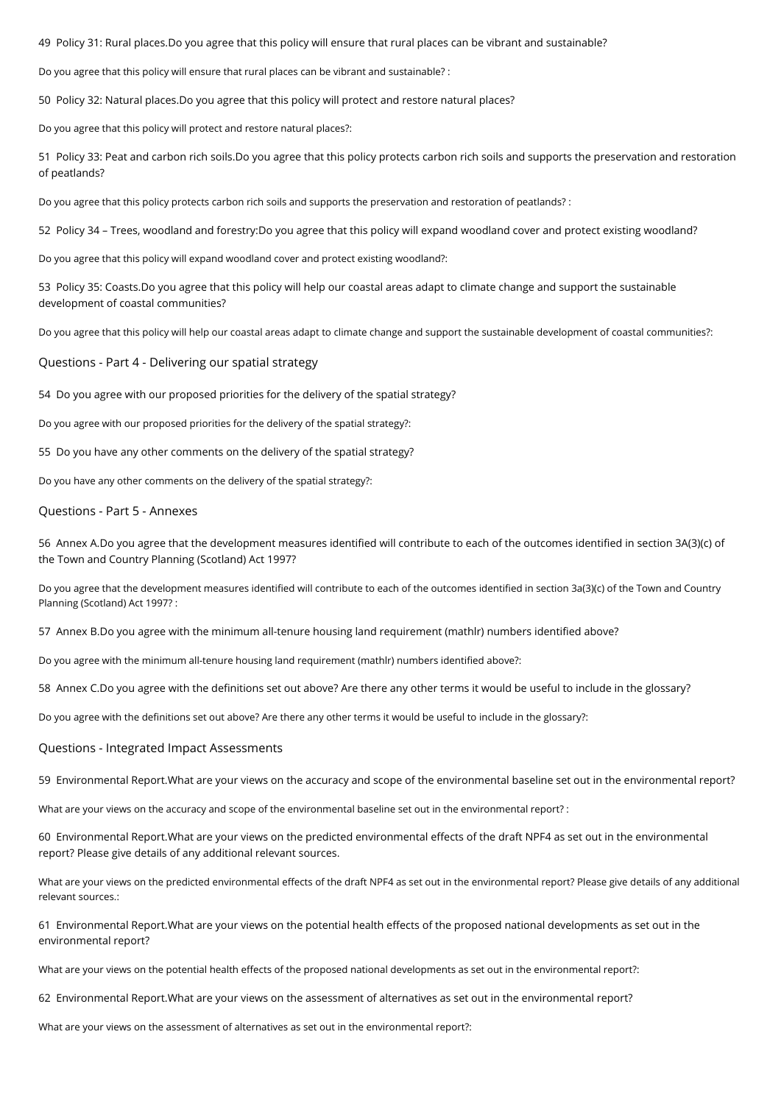49 Policy 31: Rural places.Do you agree that this policy will ensure that rural places can be vibrant and sustainable?

Do you agree that this policy will ensure that rural places can be vibrant and sustainable? :

50 Policy 32: Natural places.Do you agree that this policy will protect and restore natural places?

Do you agree that this policy will protect and restore natural places?:

51 Policy 33: Peat and carbon rich soils.Do you agree that this policy protects carbon rich soils and supports the preservation and restoration of peatlands?

Do you agree that this policy protects carbon rich soils and supports the preservation and restoration of peatlands? :

52 Policy 34 – Trees, woodland and forestry:Do you agree that this policy will expand woodland cover and protect existing woodland?

Do you agree that this policy will expand woodland cover and protect existing woodland?:

53 Policy 35: Coasts.Do you agree that this policy will help our coastal areas adapt to climate change and support the sustainable development of coastal communities?

Do you agree that this policy will help our coastal areas adapt to climate change and support the sustainable development of coastal communities?:

Questions - Part 4 - Delivering our spatial strategy

54 Do you agree with our proposed priorities for the delivery of the spatial strategy?

Do you agree with our proposed priorities for the delivery of the spatial strategy?:

55 Do you have any other comments on the delivery of the spatial strategy?

Do you have any other comments on the delivery of the spatial strategy?:

## Questions - Part 5 - Annexes

56 Annex A.Do you agree that the development measures identified will contribute to each of the outcomes identified in section 3A(3)(c) of the Town and Country Planning (Scotland) Act 1997?

Do you agree that the development measures identified will contribute to each of the outcomes identified in section 3a(3)(c) of the Town and Country Planning (Scotland) Act 1997? :

57 Annex B.Do you agree with the minimum all-tenure housing land requirement (mathlr) numbers identified above?

Do you agree with the minimum all-tenure housing land requirement (mathlr) numbers identified above?:

58 Annex C.Do you agree with the definitions set out above? Are there any other terms it would be useful to include in the glossary?

Do you agree with the definitions set out above? Are there any other terms it would be useful to include in the glossary?:

#### Questions - Integrated Impact Assessments

59 Environmental Report.What are your views on the accuracy and scope of the environmental baseline set out in the environmental report?

What are your views on the accuracy and scope of the environmental baseline set out in the environmental report? :

60 Environmental Report.What are your views on the predicted environmental effects of the draft NPF4 as set out in the environmental report? Please give details of any additional relevant sources.

What are your views on the predicted environmental effects of the draft NPF4 as set out in the environmental report? Please give details of any additional relevant sources.:

61 Environmental Report.What are your views on the potential health effects of the proposed national developments as set out in the environmental report?

What are your views on the potential health effects of the proposed national developments as set out in the environmental report?:

62 Environmental Report.What are your views on the assessment of alternatives as set out in the environmental report?

What are your views on the assessment of alternatives as set out in the environmental report?: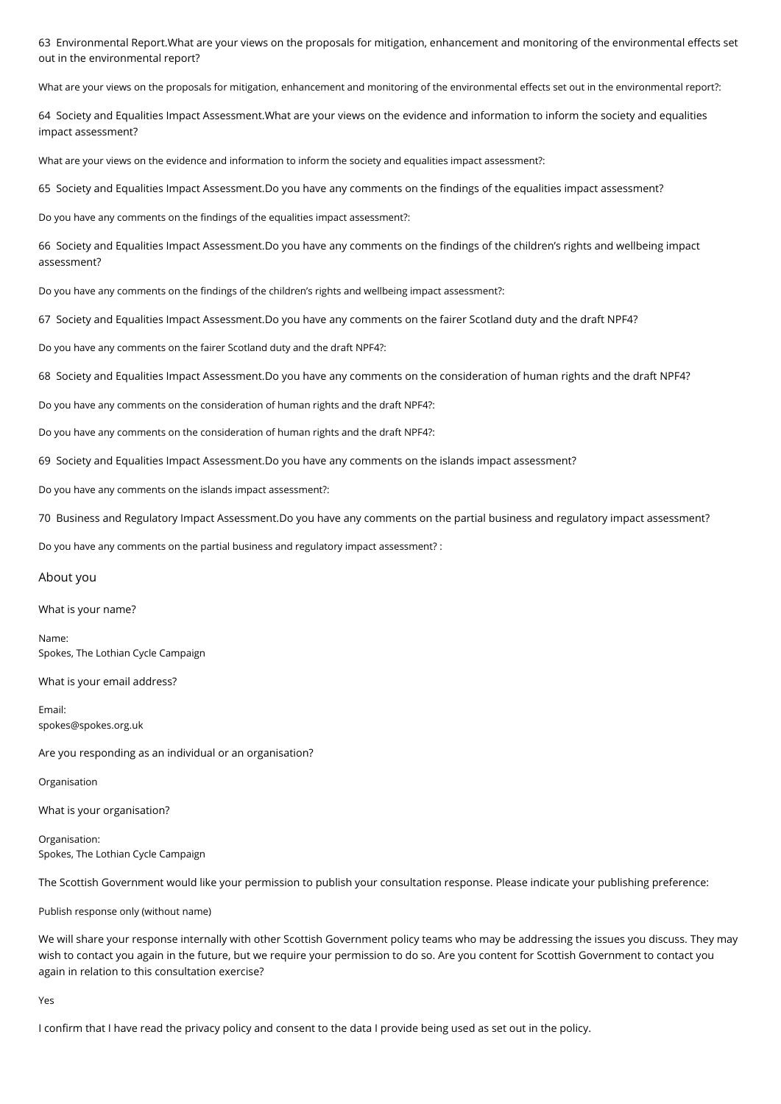63 Environmental Report.What are your views on the proposals for mitigation, enhancement and monitoring of the environmental effects set out in the environmental report?

What are your views on the proposals for mitigation, enhancement and monitoring of the environmental effects set out in the environmental report?:

64 Society and Equalities Impact Assessment.What are your views on the evidence and information to inform the society and equalities impact assessment?

What are your views on the evidence and information to inform the society and equalities impact assessment?:

65 Society and Equalities Impact Assessment.Do you have any comments on the findings of the equalities impact assessment?

Do you have any comments on the findings of the equalities impact assessment?:

66 Society and Equalities Impact Assessment.Do you have any comments on the findings of the children's rights and wellbeing impact assessment?

Do you have any comments on the findings of the children's rights and wellbeing impact assessment?:

67 Society and Equalities Impact Assessment.Do you have any comments on the fairer Scotland duty and the draft NPF4?

Do you have any comments on the fairer Scotland duty and the draft NPF4?:

68 Society and Equalities Impact Assessment.Do you have any comments on the consideration of human rights and the draft NPF4?

Do you have any comments on the consideration of human rights and the draft NPF4?:

Do you have any comments on the consideration of human rights and the draft NPF4?:

69 Society and Equalities Impact Assessment.Do you have any comments on the islands impact assessment?

Do you have any comments on the islands impact assessment?:

70 Business and Regulatory Impact Assessment.Do you have any comments on the partial business and regulatory impact assessment?

Do you have any comments on the partial business and regulatory impact assessment? :

#### About you

What is your name?

Name: Spokes, The Lothian Cycle Campaign

What is your email address?

Email: spokes@spokes.org.uk

Are you responding as an individual or an organisation?

Organisation

What is your organisation?

Organisation: Spokes, The Lothian Cycle Campaign

The Scottish Government would like your permission to publish your consultation response. Please indicate your publishing preference:

Publish response only (without name)

We will share your response internally with other Scottish Government policy teams who may be addressing the issues you discuss. They may wish to contact you again in the future, but we require your permission to do so. Are you content for Scottish Government to contact you again in relation to this consultation exercise?

Yes

I confirm that I have read the privacy policy and consent to the data I provide being used as set out in the policy.